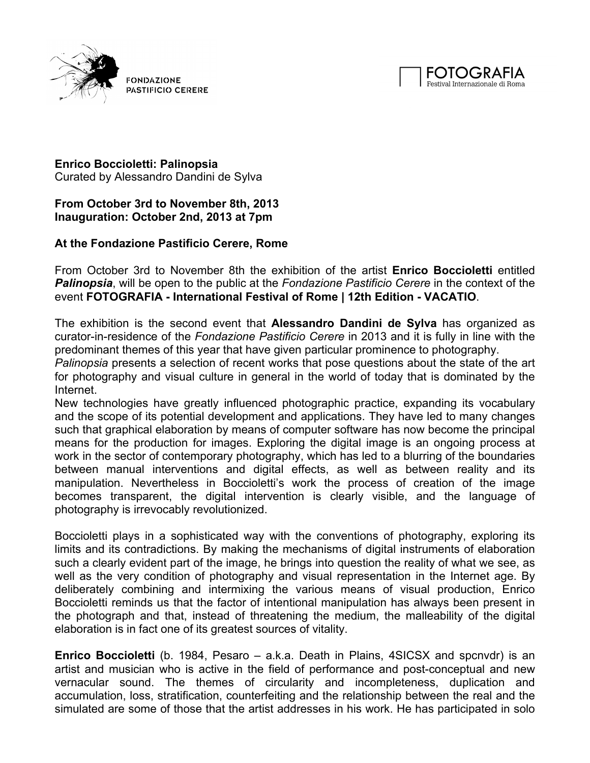

FONDAZIONE PASTIFICIO CERERE



## **Enrico Boccioletti: Palinopsia**

Curated by Alessandro Dandini de Sylva

## **From October 3rd to November 8th, 2013 Inauguration: October 2nd, 2013 at 7pm**

## **At the Fondazione Pastificio Cerere, Rome**

From October 3rd to November 8th the exhibition of the artist **Enrico Boccioletti** entitled *Palinopsia*, will be open to the public at the *Fondazione Pastificio Cerere* in the context of the event **FOTOGRAFIA - International Festival of Rome | 12th Edition - VACATIO**.

The exhibition is the second event that **Alessandro Dandini de Sylva** has organized as curator-in-residence of the *Fondazione Pastificio Cerere* in 2013 and it is fully in line with the predominant themes of this year that have given particular prominence to photography.

*Palinopsia* presents a selection of recent works that pose questions about the state of the art for photography and visual culture in general in the world of today that is dominated by the Internet.

New technologies have greatly influenced photographic practice, expanding its vocabulary and the scope of its potential development and applications. They have led to many changes such that graphical elaboration by means of computer software has now become the principal means for the production for images. Exploring the digital image is an ongoing process at work in the sector of contemporary photography, which has led to a blurring of the boundaries between manual interventions and digital effects, as well as between reality and its manipulation. Nevertheless in Boccioletti's work the process of creation of the image becomes transparent, the digital intervention is clearly visible, and the language of photography is irrevocably revolutionized.

Boccioletti plays in a sophisticated way with the conventions of photography, exploring its limits and its contradictions. By making the mechanisms of digital instruments of elaboration such a clearly evident part of the image, he brings into question the reality of what we see, as well as the very condition of photography and visual representation in the Internet age. By deliberately combining and intermixing the various means of visual production, Enrico Boccioletti reminds us that the factor of intentional manipulation has always been present in the photograph and that, instead of threatening the medium, the malleability of the digital elaboration is in fact one of its greatest sources of vitality.

**Enrico Boccioletti** (b. 1984, Pesaro – a.k.a. Death in Plains, 4SICSX and spcnvdr) is an artist and musician who is active in the field of performance and post-conceptual and new vernacular sound. The themes of circularity and incompleteness, duplication and accumulation, loss, stratification, counterfeiting and the relationship between the real and the simulated are some of those that the artist addresses in his work. He has participated in solo